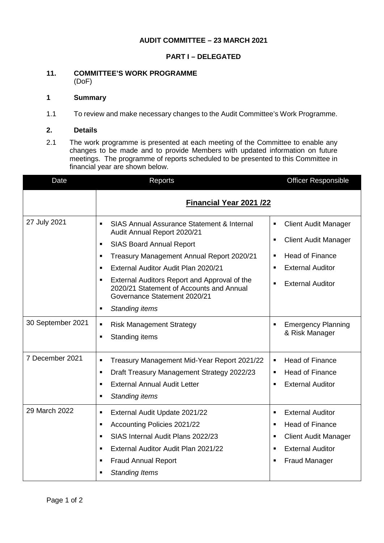# **AUDIT COMMITTEE – 23 MARCH 2021**

## **PART I – DELEGATED**

#### **11. COMMITTEE'S WORK PROGRAMME** (DoF)

# **1 Summary**

1.1 To review and make necessary changes to the Audit Committee's Work Programme.

#### **2. Details**

2.1 The work programme is presented at each meeting of the Committee to enable any changes to be made and to provide Members with updated information on future meetings. The programme of reports scheduled to be presented to this Committee in financial year are shown below.

| Date              | Reports                                                                                                                                                                                                                                                                                                                                                                                                                                             | <b>Officer Responsible</b>                                                                                                                                                                                              |
|-------------------|-----------------------------------------------------------------------------------------------------------------------------------------------------------------------------------------------------------------------------------------------------------------------------------------------------------------------------------------------------------------------------------------------------------------------------------------------------|-------------------------------------------------------------------------------------------------------------------------------------------------------------------------------------------------------------------------|
|                   | <b>Financial Year 2021 /22</b>                                                                                                                                                                                                                                                                                                                                                                                                                      |                                                                                                                                                                                                                         |
| 27 July 2021      | <b>SIAS Annual Assurance Statement &amp; Internal</b><br>$\blacksquare$<br>Audit Annual Report 2020/21<br><b>SIAS Board Annual Report</b><br>$\blacksquare$<br>Treasury Management Annual Report 2020/21<br>$\blacksquare$<br>External Auditor Audit Plan 2020/21<br>$\blacksquare$<br>External Auditors Report and Approval of the<br>$\blacksquare$<br>2020/21 Statement of Accounts and Annual<br>Governance Statement 2020/21<br>$\blacksquare$ | <b>Client Audit Manager</b><br>Ξ<br><b>Client Audit Manager</b><br>$\blacksquare$<br><b>Head of Finance</b><br>$\blacksquare$<br><b>External Auditor</b><br>$\blacksquare$<br><b>External Auditor</b><br>$\blacksquare$ |
| 30 September 2021 | Standing items<br><b>Risk Management Strategy</b><br>$\blacksquare$<br>Standing items<br>$\blacksquare$                                                                                                                                                                                                                                                                                                                                             | <b>Emergency Planning</b><br>$\blacksquare$<br>& Risk Manager                                                                                                                                                           |
| 7 December 2021   | Treasury Management Mid-Year Report 2021/22<br>$\blacksquare$<br>$\blacksquare$<br>Draft Treasury Management Strategy 2022/23<br><b>External Annual Audit Letter</b><br>$\blacksquare$<br><b>Standing items</b><br>$\blacksquare$                                                                                                                                                                                                                   | <b>Head of Finance</b><br>$\blacksquare$<br><b>Head of Finance</b><br>$\blacksquare$<br><b>External Auditor</b><br>п                                                                                                    |
| 29 March 2022     | External Audit Update 2021/22<br>$\blacksquare$<br><b>Accounting Policies 2021/22</b><br>$\blacksquare$<br>SIAS Internal Audit Plans 2022/23<br>$\blacksquare$<br>External Auditor Audit Plan 2021/22<br>$\blacksquare$<br><b>Fraud Annual Report</b><br>$\blacksquare$<br><b>Standing Items</b><br>$\blacksquare$                                                                                                                                  | <b>External Auditor</b><br>$\blacksquare$<br><b>Head of Finance</b><br>$\blacksquare$<br><b>Client Audit Manager</b><br><b>External Auditor</b><br><b>Fraud Manager</b><br>п                                            |